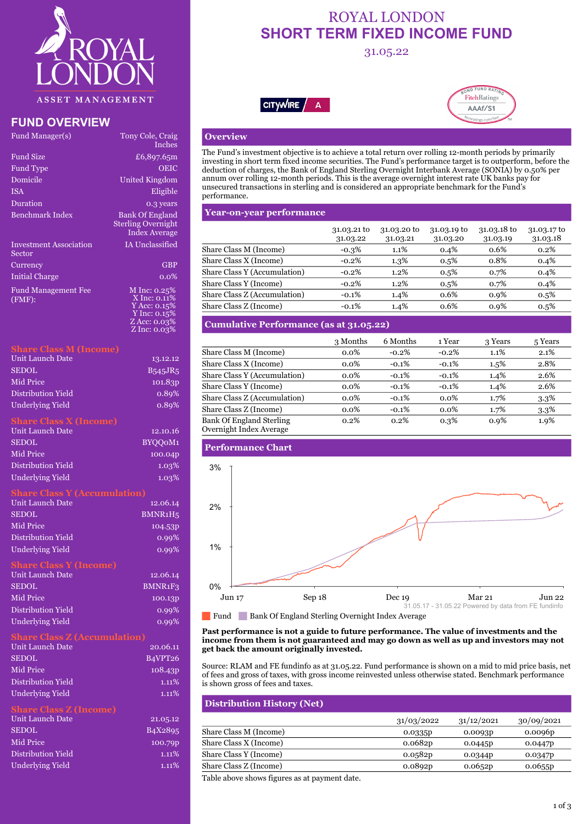

# **FUND OVERVIEW**

| Fund Manager(s)                  | Tony Cole, Craig<br><b>Inches</b>                                                              |
|----------------------------------|------------------------------------------------------------------------------------------------|
| Fund Size                        | £6,897.65m                                                                                     |
| Fund Type                        | <b>OEIC</b>                                                                                    |
| Domicile                         | United Kingdom                                                                                 |
| <b>ISA</b>                       | Eligible                                                                                       |
| Duration                         | 0.3 years                                                                                      |
| Benchmark Index                  | <b>Bank Of England</b><br><b>Sterling Overnight</b><br><b>Index Average</b>                    |
| Investment Association<br>Sector | <b>IA Unclassified</b>                                                                         |
| Currency                         | <b>GBP</b>                                                                                     |
| Initial Charge                   | $0.0\%$                                                                                        |
| Fund Management Fee<br>(FMF):    | M Inc: $0.25%$<br>X Inc: 0.11%<br>Y Acc: 0.15%<br>Y Inc: 0.15%<br>Z Acc: 0.03%<br>Z Inc: 0.03% |

#### **Share Class M (Income)**

| Unit Launch Date   | 13.12.12             |
|--------------------|----------------------|
| <b>SEDOL</b>       | <b>B545JR5</b>       |
| Mid Price          | $101.\overline{83}D$ |
| Distribution Yield | 0.89%                |
| Underlying Yield   | 0.89%                |

#### **Share Class X (Income)**

| Unit Launch Date   | 12.10.16 |
|--------------------|----------|
| <b>SEDOL</b>       | BYOOOM1  |
| Mid Price          | 100.04p  |
| Distribution Yield | $1.03\%$ |
| Underlying Yield   | $1.03\%$ |

| <b>Unit Launch Date</b>       | 12.06.14                         |
|-------------------------------|----------------------------------|
| <b>SEDOL</b>                  | BMNR1H <sub>5</sub>              |
| <b>Mid Price</b>              | 104.53P                          |
| Distribution Yield            | 0.99%                            |
| <b>Underlying Yield</b>       | 0.99%                            |
| <b>Share Class Y (Income)</b> |                                  |
| <b>Unit Launch Date</b>       | 12.06.14                         |
| <b>SEDOL</b>                  | BMNR <sub>1</sub> F <sub>3</sub> |
| <b>Mid Price</b>              | 100.13p                          |
| Distribution Yield            | 0.99%                            |
| <b>Underlying Yield</b>       | 0.99%                            |

#### **Share Class Z (Accumulation)**

| Unit Launch Date        | 20.06.11                         |
|-------------------------|----------------------------------|
| <b>SEDOL</b>            | B <sub>4</sub> VPT <sub>26</sub> |
| Mid Price               | 108.43 <sub>p</sub>              |
| Distribution Yield      | $1.11\%$                         |
| <b>Underlying Yield</b> | $1.11\%$                         |

### **Share Class Z (Income)**

| Unit Launch Date        | 21.05.12                          |
|-------------------------|-----------------------------------|
| SEDOL.                  | B <sub>4</sub> X <sub>2</sub> 895 |
| Mid Price               | 100.79p                           |
| Distribution Yield      | $1.11\%$                          |
| <b>Underlying Yield</b> | $1.11\%$                          |

# ROYAL LONDON **SHORT TERM FIXED INCOME FUND**

# 31.05.22





## **Overview**

The Fund's investment objective is to achieve a total return over rolling 12-month periods by primarily investing in short term fixed income securities. The Fund's performance target is to outperform, before the deduction of charges, the Bank of England Sterling Overnight Interbank Average (SONIA) by 0.50% per annum over rolling 12-month periods. This is the average overnight interest rate UK banks pay for unsecured transactions in sterling and is considered an appropriate benchmark for the Fund's performance.

#### **Year-on-year performance**

|                              | 31.03.21 to<br>31.03.22 | 31.03.20 to<br>31.03.21 | 31.03.19 to<br>31.03.20 | 31.03.18 to<br>31.03.19 | 31.03.17 to<br>31.03.18 |
|------------------------------|-------------------------|-------------------------|-------------------------|-------------------------|-------------------------|
| Share Class M (Income)       | $-0.3\%$                | $1.1\%$                 | 0.4%                    | 0.6%                    | 0.2%                    |
| Share Class X (Income)       | $-0.2\%$                | $1.3\%$                 | $0.5\%$                 | 0.8%                    | 0.4%                    |
| Share Class Y (Accumulation) | $-0.2\%$                | 1.2%                    | $0.5\%$                 | 0.7%                    | 0.4%                    |
| Share Class Y (Income)       | $-0.2\%$                | 1.2%                    | 0.5%                    | 0.7%                    | 0.4%                    |
| Share Class Z (Accumulation) | $-0.1%$                 | 1.4%                    | 0.6%                    | 0.9%                    | $0.5\%$                 |
| Share Class Z (Income)       | $-0.1\%$                | 1.4%                    | 0.6%                    | 0.9%                    | 0.5%                    |

### **Cumulative Performance (as at 31.05.22)**

|                                                            | 3 Months | 6 Months | 1 Year  | 3 Years | 5 Years |
|------------------------------------------------------------|----------|----------|---------|---------|---------|
| Share Class M (Income)                                     | $0.0\%$  | $-0.2%$  | $-0.2%$ | 1.1%    | 2.1%    |
| Share Class X (Income)                                     | $0.0\%$  | $-0.1%$  | $-0.1%$ | $1.5\%$ | 2.8%    |
| Share Class Y (Accumulation)                               | $0.0\%$  | $-0.1%$  | $-0.1%$ | $1.4\%$ | 2.6%    |
| Share Class Y (Income)                                     | $0.0\%$  | $-0.1%$  | $-0.1%$ | 1.4%    | 2.6%    |
| Share Class Z (Accumulation)                               | $0.0\%$  | $-0.1%$  | $0.0\%$ | 1.7%    | $3.3\%$ |
| Share Class Z (Income)                                     | $0.0\%$  | $-0.1%$  | $0.0\%$ | 1.7%    | $3.3\%$ |
| <b>Bank Of England Sterling</b><br>Overnight Index Average | $0.2\%$  | 0.2%     | $0.3\%$ | $0.9\%$ | 1.9%    |



Fund Bank Of England Sterling Overnight Index Average

**Past performance is not a guide to future performance. The value of investments and the income from them is not guaranteed and may go down as well as up and investors may not get back the amount originally invested.**

Source: RLAM and FE fundinfo as at 31.05.22. Fund performance is shown on a mid to mid price basis, net of fees and gross of taxes, with gross income reinvested unless otherwise stated. Benchmark performance is shown gross of fees and taxes.

### **Distribution History (Net)**

|                        | 31/03/2022          | 31/12/2021 | 30/09/2021 |
|------------------------|---------------------|------------|------------|
| Share Class M (Income) | 0.0335 <sub>p</sub> | 0.0093p    | 0.0096p    |
| Share Class X (Income) | 0.0682p             | 0.0445p    | 0.0447p    |
| Share Class Y (Income) | 0.0582p             | 0.0344p    | 0.0347p    |
| Share Class Z (Income) | 0.0892p             | 0.0652p    | 0.0655p    |

Table above shows figures as at payment date.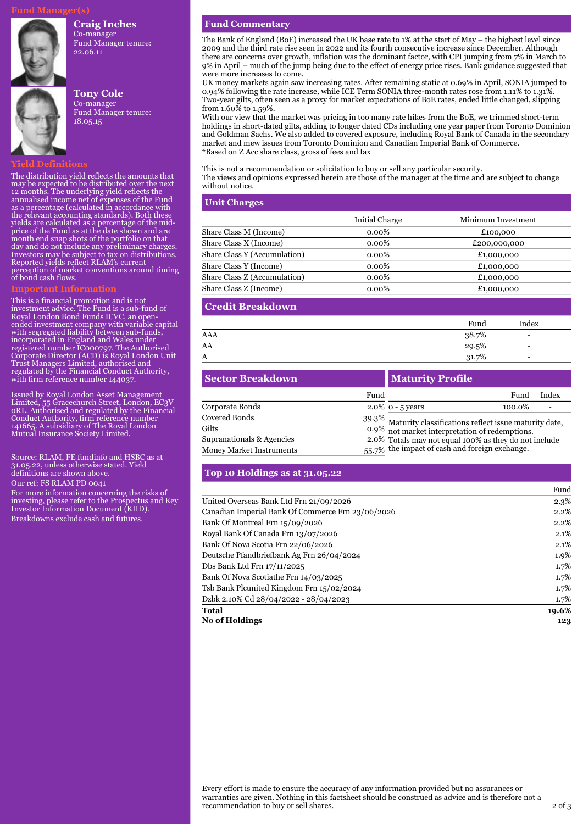#### **Craig Inches**

Co-manager Fund Manager tenure: 22.06.11



### **Tony Cole**

Co-manager Fund Manager tenure: 18.05.15

#### **Yield Definitions**

The distribution yield reflects the amounts that may be expected to be distributed over the next 12 months. The underlying yield reflects the annualised income net of expenses of the Fund as a percentage (calculated in accordance with the relevant accounting standards). Both these yields are calculated as a percentage of the midprice of the Fund as at the date shown and are month end snap shots of the portfolio on that day and do not include any preliminary charges. Investors may be subject to tax on distributions. Reported yields reflect RLAM's current perception of market conventions around timing of bond cash flows.

This is a financial promotion and is not investment advice. The Fund is a sub-fund of Royal London Bond Funds ICVC, an open-ended investment company with variable capital with segregated liability between sub-funds, incorporated in England and Wales under registered number IC000797. The Authorised Corporate Director (ACD) is Royal London Unit Trust Managers Limited, authorised and regulated by the Financial Conduct Authority, with firm reference number 144037

Issued by Royal London Asset Management Limited, 55 Gracechurch Street, London, EC3V 0RL. Authorised and regulated by the Financial Conduct Authority, firm reference number 141665. A subsidiary of The Royal London Mutual Insurance Society Limited.

Source: RLAM, FE fundinfo and HSBC as at 31.05.22, unless otherwise stated. Yield definitions are shown above.

Our ref: FS RLAM PD 0041

For more information concerning the risks of investing, please refer to the Prospectus and Key Investor Information Document (KIID). Breakdowns exclude cash and futures.

#### **Fund Commentary**

The Bank of England (BoE) increased the UK base rate to 1% at the start of May – the highest level since 2009 and the third rate rise seen in 2022 and its fourth consecutive increase since December. Although there are concerns over growth, inflation was the dominant factor, with CPI jumping from 7% in March to 9% in April – much of the jump being due to the effect of energy price rises. Bank guidance suggested that were more increases to come.

UK money markets again saw increasing rates. After remaining static at 0.69% in April, SONIA jumped to 0.94% following the rate increase, while ICE Term SONIA three-month rates rose from 1.11% to 1.31%. Two-year gilts, often seen as a proxy for market expectations of BoE rates, ended little changed, slipping from 1.60% to 1.59%.

With our view that the market was pricing in too many rate hikes from the BoE, we trimmed short-term holdings in short-dated gilts, adding to longer dated CDs including one year paper from Toronto Dominion and Goldman Sachs. We also added to covered exposure, including Royal Bank of Canada in the secondary market and mew issues from Toronto Dominion and Canadian Imperial Bank of Commerce. \*Based on Z Acc share class, gross of fees and tax

This is not a recommendation or solicitation to buy or sell any particular security. The views and opinions expressed herein are those of the manager at the time and are subject to change without notice.

### **Unit Charges**

|                                     | Initial Charge | Minimum Investment |
|-------------------------------------|----------------|--------------------|
| Share Class M (Income)              | $0.00\%$       | £100,000           |
| Share Class X (Income)              | $0.00\%$       | £200,000,000       |
| <b>Share Class Y (Accumulation)</b> | $0.00\%$       | £1,000,000         |
| Share Class Y (Income)              | $0.00\%$       | £1,000,000         |
| Share Class Z (Accumulation)        | $0.00\%$       | £1,000,000         |
| Share Class Z (Income)              | $0.00\%$       | £1,000,000         |

#### **Credit Breakdown**

|     | Fund  | Index                    |
|-----|-------|--------------------------|
| AAA | 38.7% | $\overline{\phantom{0}}$ |
| AA  | 29.5% | $\overline{\phantom{0}}$ |
| А   | 31.7% | $\overline{\phantom{0}}$ |
|     |       |                          |

| <b>Sector Breakdown</b>         |      | <b>Maturity Profile</b>                                                                                          |                                                |       |  |
|---------------------------------|------|------------------------------------------------------------------------------------------------------------------|------------------------------------------------|-------|--|
|                                 | Fund |                                                                                                                  | Fund                                           | Index |  |
| Corporate Bonds                 |      | 2.0% $0 - 5$ years                                                                                               | 100.0%                                         |       |  |
| <b>Covered Bonds</b>            |      |                                                                                                                  |                                                |       |  |
| Gilts                           |      | $39.3\%$ Maturity classifications reflect issue maturity date,<br>0.9% not market interpretation of redemptions. |                                                |       |  |
| Supranationals & Agencies       |      | 2.0% Totals may not equal 100% as they do not include                                                            |                                                |       |  |
| <b>Money Market Instruments</b> |      |                                                                                                                  | 55.7% the impact of cash and foreign exchange. |       |  |

#### **Top 10 Holdings as at 31.05.22**

|                                                   | r unu   |
|---------------------------------------------------|---------|
| United Overseas Bank Ltd Frn 21/09/2026           | 2.3%    |
| Canadian Imperial Bank Of Commerce Frn 23/06/2026 | 2.2%    |
| Bank Of Montreal Frn 15/09/2026                   | $2.2\%$ |
| Royal Bank Of Canada Frn 13/07/2026               | 2.1%    |
| Bank Of Nova Scotia Frn 22/06/2026                | $2.1\%$ |
| Deutsche Pfandbriefbank Ag Frn 26/04/2024         | $1.9\%$ |
| Dbs Bank Ltd Frn 17/11/2025                       | 1.7%    |
| Bank Of Nova Scotiathe Frn 14/03/2025             | 1.7%    |
| Tsb Bank Plcunited Kingdom Frn 15/02/2024         | 1.7%    |
| Dzbk 2.10% Cd 28/04/2022 - 28/04/2023             | 1.7%    |
| <b>Total</b>                                      | 19.6%   |
| <b>No of Holdings</b>                             | 123     |

Fund